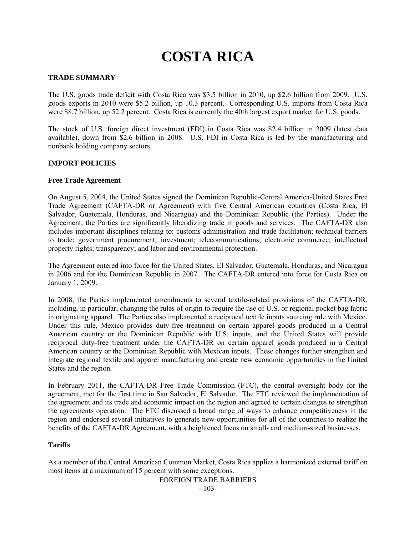# **COSTA RICA**

# **TRADE SUMMARY**

The U.S. goods trade deficit with Costa Rica was \$3.5 billion in 2010, up \$2.6 billion from 2009. U.S. goods exports in 2010 were \$5.2 billion, up 10.3 percent. Corresponding U.S. imports from Costa Rica were \$8.7 billion, up 52.2 percent. Costa Rica is currently the 40th largest export market for U.S. goods.

The stock of U.S. foreign direct investment (FDI) in Costa Rica was \$2.4 billion in 2009 (latest data available), down from \$2.6 billion in 2008. U.S. FDI in Costa Rica is led by the manufacturing and nonbank holding company sectors.

### **IMPORT POLICIES**

### **Free Trade Agreement**

On August 5, 2004, the United States signed the Dominican Republic-Central America-United States Free Trade Agreement (CAFTA-DR or Agreement) with five Central American countries (Costa Rica, El Salvador, Guatemala, Honduras, and Nicaragua) and the Dominican Republic (the Parties). Under the Agreement, the Parties are significantly liberalizing trade in goods and services. The CAFTA-DR also includes important disciplines relating to: customs administration and trade facilitation; technical barriers to trade; government procurement; investment; telecommunications; electronic commerce; intellectual property rights; transparency; and labor and environmental protection.

The Agreement entered into force for the United States, El Salvador, Guatemala, Honduras, and Nicaragua in 2006 and for the Dominican Republic in 2007. The CAFTA-DR entered into force for Costa Rica on January 1, 2009.

In 2008, the Parties implemented amendments to several textile-related provisions of the CAFTA-DR, including, in particular, changing the rules of origin to require the use of U.S. or regional pocket bag fabric in originating apparel. The Parties also implemented a reciprocal textile inputs sourcing rule with Mexico. Under this rule, Mexico provides duty-free treatment on certain apparel goods produced in a Central American country or the Dominican Republic with U.S. inputs, and the United States will provide reciprocal duty-free treatment under the CAFTA-DR on certain apparel goods produced in a Central American country or the Dominican Republic with Mexican inputs. These changes further strengthen and integrate regional textile and apparel manufacturing and create new economic opportunities in the United States and the region.

In February 2011, the CAFTA-DR Free Trade Commission (FTC), the central oversight body for the agreement, met for the first time in San Salvador, El Salvador. The FTC reviewed the implementation of the agreement and its trade and economic impact on the region and agreed to certain changes to strengthen the agreements operation. The FTC discussed a broad range of ways to enhance competitiveness in the region and endorsed several initiatives to generate new opportunities for all of the countries to realize the benefits of the CAFTA-DR Agreement, with a heightened focus on small- and medium-sized businesses.

### **Tariffs**

As a member of the Central American Common Market, Costa Rica applies a harmonized external tariff on most items at a maximum of 15 percent with some exceptions.

FOREIGN TRADE BARRIERS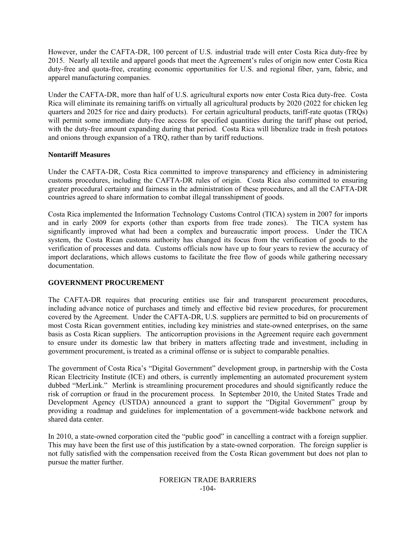However, under the CAFTA-DR, 100 percent of U.S. industrial trade will enter Costa Rica duty-free by 2015. Nearly all textile and apparel goods that meet the Agreement's rules of origin now enter Costa Rica duty-free and quota-free, creating economic opportunities for U.S. and regional fiber, yarn, fabric, and apparel manufacturing companies.

Under the CAFTA-DR, more than half of U.S. agricultural exports now enter Costa Rica duty-free. Costa Rica will eliminate its remaining tariffs on virtually all agricultural products by 2020 (2022 for chicken leg quarters and 2025 for rice and dairy products). For certain agricultural products, tariff-rate quotas (TRQs) will permit some immediate duty-free access for specified quantities during the tariff phase out period, with the duty-free amount expanding during that period. Costa Rica will liberalize trade in fresh potatoes and onions through expansion of a TRQ, rather than by tariff reductions.

## **Nontariff Measures**

Under the CAFTA-DR, Costa Rica committed to improve transparency and efficiency in administering customs procedures, including the CAFTA-DR rules of origin. Costa Rica also committed to ensuring greater procedural certainty and fairness in the administration of these procedures, and all the CAFTA-DR countries agreed to share information to combat illegal transshipment of goods.

Costa Rica implemented the Information Technology Customs Control (TICA) system in 2007 for imports and in early 2009 for exports (other than exports from free trade zones). The TICA system has significantly improved what had been a complex and bureaucratic import process. Under the TICA system, the Costa Rican customs authority has changed its focus from the verification of goods to the verification of processes and data. Customs officials now have up to four years to review the accuracy of import declarations, which allows customs to facilitate the free flow of goods while gathering necessary documentation.

## **GOVERNMENT PROCUREMENT**

The CAFTA-DR requires that procuring entities use fair and transparent procurement procedures, including advance notice of purchases and timely and effective bid review procedures, for procurement covered by the Agreement. Under the CAFTA-DR, U.S. suppliers are permitted to bid on procurements of most Costa Rican government entities, including key ministries and state-owned enterprises, on the same basis as Costa Rican suppliers. The anticorruption provisions in the Agreement require each government to ensure under its domestic law that bribery in matters affecting trade and investment, including in government procurement, is treated as a criminal offense or is subject to comparable penalties.

The government of Costa Rica's "Digital Government" development group, in partnership with the Costa Rican Electricity Institute (ICE) and others, is currently implementing an automated procurement system dubbed "MerLink." Merlink is streamlining procurement procedures and should significantly reduce the risk of corruption or fraud in the procurement process. In September 2010, the United States Trade and Development Agency (USTDA) announced a grant to support the "Digital Government" group by providing a roadmap and guidelines for implementation of a government-wide backbone network and shared data center.

In 2010, a state-owned corporation cited the "public good" in cancelling a contract with a foreign supplier. This may have been the first use of this justification by a state-owned corporation. The foreign supplier is not fully satisfied with the compensation received from the Costa Rican government but does not plan to pursue the matter further.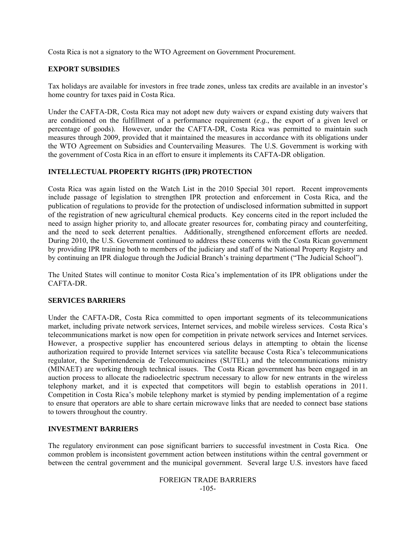Costa Rica is not a signatory to the WTO Agreement on Government Procurement.

# **EXPORT SUBSIDIES**

Tax holidays are available for investors in free trade zones, unless tax credits are available in an investor's home country for taxes paid in Costa Rica.

Under the CAFTA-DR, Costa Rica may not adopt new duty waivers or expand existing duty waivers that are conditioned on the fulfillment of a performance requirement (*e.g.*, the export of a given level or percentage of goods). However, under the CAFTA-DR, Costa Rica was permitted to maintain such measures through 2009, provided that it maintained the measures in accordance with its obligations under the WTO Agreement on Subsidies and Countervailing Measures. The U.S. Government is working with the government of Costa Rica in an effort to ensure it implements its CAFTA-DR obligation.

## **INTELLECTUAL PROPERTY RIGHTS (IPR) PROTECTION**

Costa Rica was again listed on the Watch List in the 2010 Special 301 report. Recent improvements include passage of legislation to strengthen IPR protection and enforcement in Costa Rica, and the publication of regulations to provide for the protection of undisclosed information submitted in support of the registration of new agricultural chemical products. Key concerns cited in the report included the need to assign higher priority to, and allocate greater resources for, combating piracy and counterfeiting, and the need to seek deterrent penalties. Additionally, strengthened enforcement efforts are needed. During 2010, the U.S. Government continued to address these concerns with the Costa Rican government by providing IPR training both to members of the judiciary and staff of the National Property Registry and by continuing an IPR dialogue through the Judicial Branch's training department ("The Judicial School").

The United States will continue to monitor Costa Rica's implementation of its IPR obligations under the CAFTA-DR.

## **SERVICES BARRIERS**

Under the CAFTA-DR, Costa Rica committed to open important segments of its telecommunications market, including private network services, Internet services, and mobile wireless services. Costa Rica's telecommunications market is now open for competition in private network services and Internet services. However, a prospective supplier has encountered serious delays in attempting to obtain the license authorization required to provide Internet services via satellite because Costa Rica's telecommunications regulator, the Superintendencia de Telecomunicacines (SUTEL) and the telecommunications ministry (MINAET) are working through technical issues. The Costa Rican government has been engaged in an auction process to allocate the radioelectric spectrum necessary to allow for new entrants in the wireless telephony market, and it is expected that competitors will begin to establish operations in 2011. Competition in Costa Rica's mobile telephony market is stymied by pending implementation of a regime to ensure that operators are able to share certain microwave links that are needed to connect base stations to towers throughout the country.

## **INVESTMENT BARRIERS**

The regulatory environment can pose significant barriers to successful investment in Costa Rica. One common problem is inconsistent government action between institutions within the central government or between the central government and the municipal government. Several large U.S. investors have faced